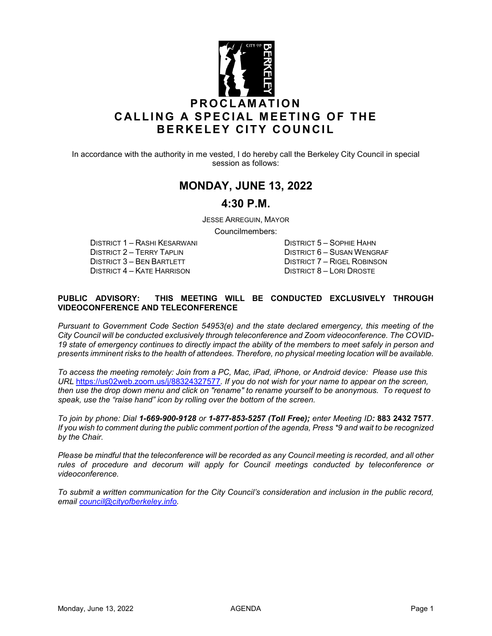

In accordance with the authority in me vested, I do hereby call the Berkeley City Council in special session as follows:

# **MONDAY, JUNE 13, 2022**

## **4:30 P.M.**

JESSE ARREGUIN, MAYOR

Councilmembers:

DISTRICT 1 – RASHI KESARWANI DISTRICT 5 – SOPHIE HAHN DISTRICT 3 – BEN BARTLETT DISTRICT 7 – RIGEL ROBINSON<br>DISTRICT 4 – KATE HARRISON DISTRICT 8 – LORI DROSTE DISTRICT 4 – KATE HARRISON

DISTRICT 6 – SUSAN WENGRAF

#### **PUBLIC ADVISORY: THIS MEETING WILL BE CONDUCTED EXCLUSIVELY THROUGH VIDEOCONFERENCE AND TELECONFERENCE**

*Pursuant to Government Code Section 54953(e) and the state declared emergency, this meeting of the City Council will be conducted exclusively through teleconference and Zoom videoconference. The COVID-19 state of emergency continues to directly impact the ability of the members to meet safely in person and presents imminent risks to the health of attendees. Therefore, no physical meeting location will be available.* 

*To access the meeting remotely: Join from a PC, Mac, iPad, iPhone, or Android device: Please use this URL* <https://us02web.zoom.us/j/88324327577>*. If you do not wish for your name to appear on the screen, then use the drop down menu and click on "rename" to rename yourself to be anonymous. To request to speak, use the "raise hand" icon by rolling over the bottom of the screen.* 

*To join by phone: Dial 1-669-900-9128 or 1-877-853-5257 (Toll Free); enter Meeting ID:* **883 2432 7577**. *If you wish to comment during the public comment portion of the agenda, Press \*9 and wait to be recognized by the Chair.* 

*Please be mindful that the teleconference will be recorded as any Council meeting is recorded, and all other*  rules of procedure and decorum will apply for Council meetings conducted by teleconference or *videoconference.*

*To submit a written communication for the City Council's consideration and inclusion in the public record, email [council@cityofberkeley.info.](mailto:council@cityofberkeley.info)*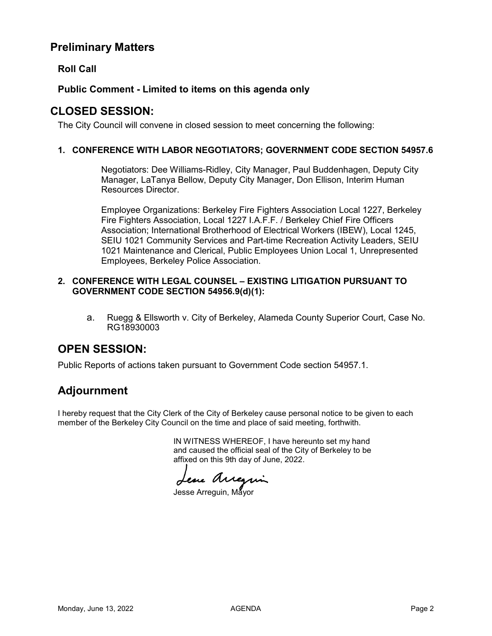# **Preliminary Matters**

## **Roll Call**

### **Public Comment - Limited to items on this agenda only**

## **CLOSED SESSION:**

The City Council will convene in closed session to meet concerning the following:

#### **1. CONFERENCE WITH LABOR NEGOTIATORS; GOVERNMENT CODE SECTION 54957.6**

Negotiators: Dee Williams-Ridley, City Manager, Paul Buddenhagen, Deputy City Manager, LaTanya Bellow, Deputy City Manager, Don Ellison, Interim Human Resources Director.

Employee Organizations: Berkeley Fire Fighters Association Local 1227, Berkeley Fire Fighters Association, Local 1227 I.A.F.F. / Berkeley Chief Fire Officers Association; International Brotherhood of Electrical Workers (IBEW), Local 1245, SEIU 1021 Community Services and Part-time Recreation Activity Leaders, SEIU 1021 Maintenance and Clerical, Public Employees Union Local 1, Unrepresented Employees, Berkeley Police Association.

#### **2. CONFERENCE WITH LEGAL COUNSEL – EXISTING LITIGATION PURSUANT TO GOVERNMENT CODE SECTION 54956.9(d)(1):**

a. Ruegg & Ellsworth v. City of Berkeley, Alameda County Superior Court, Case No. RG18930003

# **OPEN SESSION:**

Public Reports of actions taken pursuant to Government Code section 54957.1.

# **Adjournment**

I hereby request that the City Clerk of the City of Berkeley cause personal notice to be given to each member of the Berkeley City Council on the time and place of said meeting, forthwith.

> IN WITNESS WHEREOF, I have hereunto set my hand and caused the official seal of the City of Berkeley to be affixed on this 9th day of June, 2022.

Lesse Arregin

Jesse Arreguin, Mayor